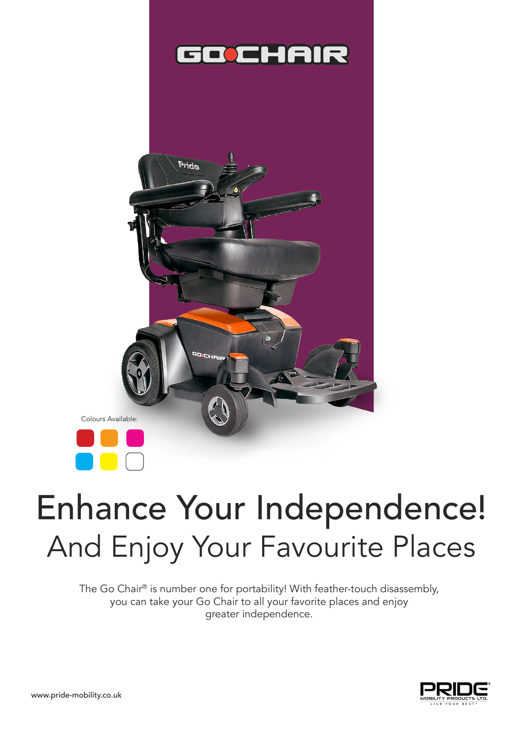



## Enhance Your Independence! And Enjoy Your Favourite Places

The Go Chair® is number one for portability! With feather-touch disassembly, you can take your Go Chair to all your favorite places and enjoy greater independence.